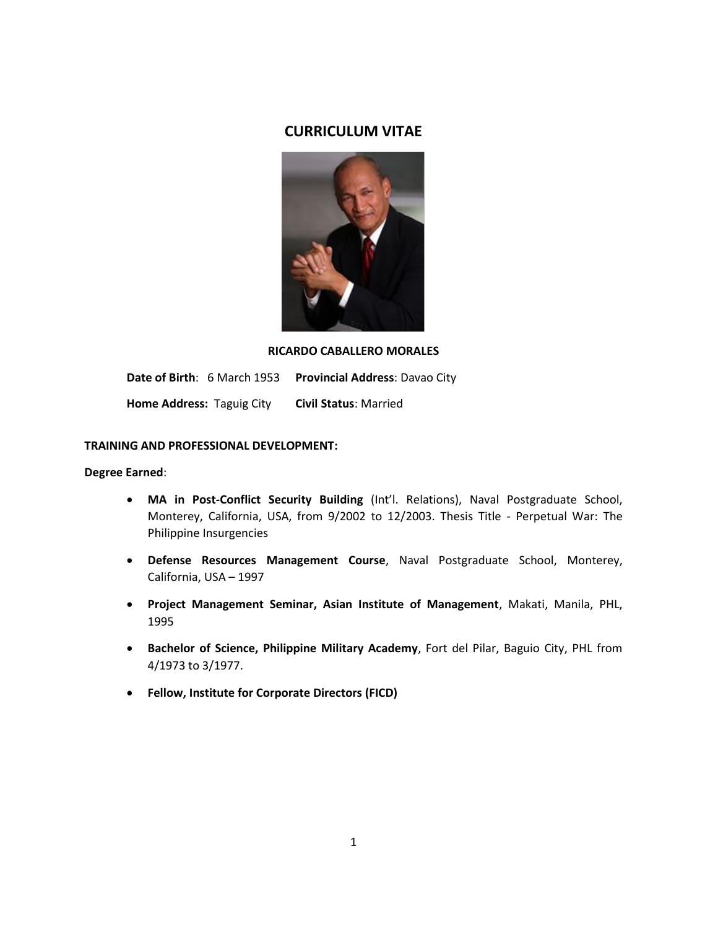# **CURRICULUM VITAE**



### **RICARDO CABALLERO MORALES**

**Date of Birth**: 6 March 1953 **Provincial Address**: Davao City

**Home Address:** Taguig City **Civil Status**: Married

## **TRAINING AND PROFESSIONAL DEVELOPMENT:**

### **Degree Earned**:

- **MA in Post-Conflict Security Building** (Int'l. Relations), Naval Postgraduate School, Monterey, California, USA, from 9/2002 to 12/2003. Thesis Title - Perpetual War: The Philippine Insurgencies
- **Defense Resources Management Course**, Naval Postgraduate School, Monterey, California, USA – 1997
- **Project Management Seminar, Asian Institute of Management**, Makati, Manila, PHL, 1995
- **Bachelor of Science, Philippine Military Academy**, Fort del Pilar, Baguio City, PHL from 4/1973 to 3/1977.
- **Fellow, Institute for Corporate Directors (FICD)**